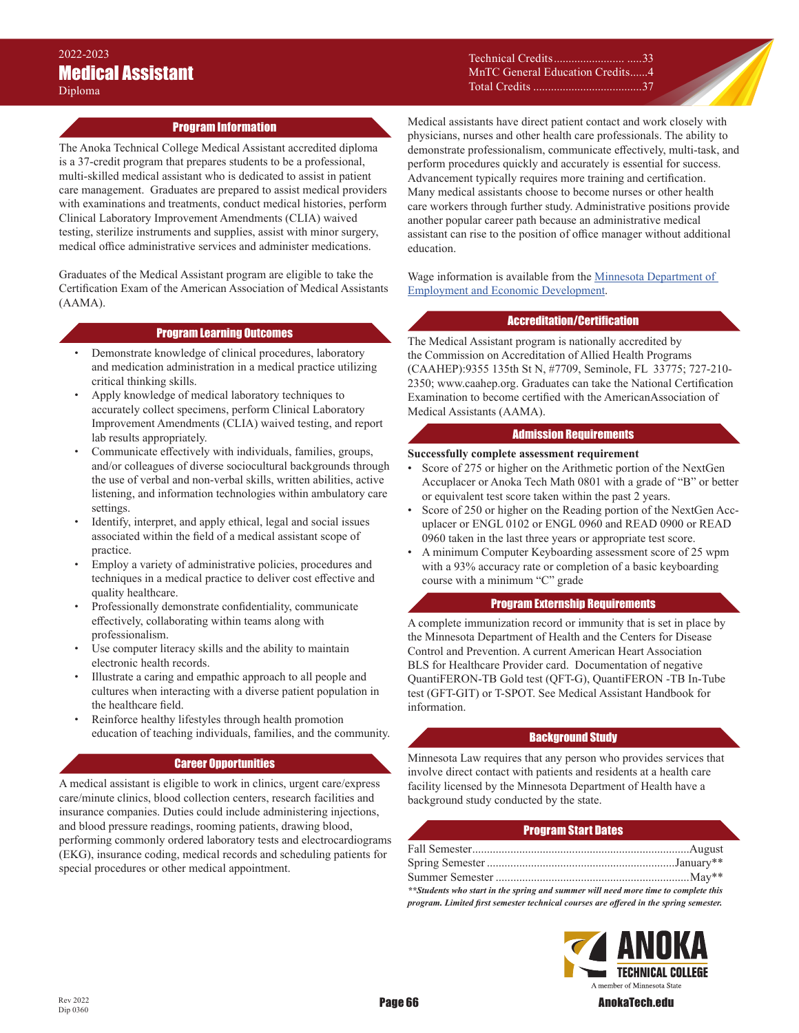Technical Credits........................ .....33 MnTC General Education Credits ......4 Total Credits .....................................37

## Program Information

The Anoka Technical College Medical Assistant accredited diploma is a 37-credit program that prepares students to be a professional, multi-skilled medical assistant who is dedicated to assist in patient care management. Graduates are prepared to assist medical providers with examinations and treatments, conduct medical histories, perform Clinical Laboratory Improvement Amendments (CLIA) waived testing, sterilize instruments and supplies, assist with minor surgery, medical office administrative services and administer medications.

Graduates of the Medical Assistant program are eligible to take the Certification Exam of the American Association of Medical Assistants (AAMA).

#### Program Learning Outcomes

- Demonstrate knowledge of clinical procedures, laboratory and medication administration in a medical practice utilizing critical thinking skills.
- Apply knowledge of medical laboratory techniques to accurately collect specimens, perform Clinical Laboratory Improvement Amendments (CLIA) waived testing, and report lab results appropriately.
- Communicate effectively with individuals, families, groups, and/or colleagues of diverse sociocultural backgrounds through the use of verbal and non-verbal skills, written abilities, active listening, and information technologies within ambulatory care settings.
- Identify, interpret, and apply ethical, legal and social issues associated within the field of a medical assistant scope of practice.
- Employ a variety of administrative policies, procedures and techniques in a medical practice to deliver cost effective and quality healthcare.
- Professionally demonstrate confidentiality, communicate effectively, collaborating within teams along with professionalism.
- Use computer literacy skills and the ability to maintain electronic health records.
- Illustrate a caring and empathic approach to all people and cultures when interacting with a diverse patient population in the healthcare field.
- Reinforce healthy lifestyles through health promotion education of teaching individuals, families, and the community.

### Career Opportunities

A medical assistant is eligible to work in clinics, urgent care/express care/minute clinics, blood collection centers, research facilities and insurance companies. Duties could include administering injections, and blood pressure readings, rooming patients, drawing blood, performing commonly ordered laboratory tests and electrocardiograms (EKG), insurance coding, medical records and scheduling patients for special procedures or other medical appointment.

Medical assistants have direct patient contact and work closely with physicians, nurses and other health care professionals. The ability to demonstrate professionalism, communicate effectively, multi-task, and perform procedures quickly and accurately is essential for success. Advancement typically requires more training and certification. Many medical assistants choose to become nurses or other health care workers through further study. Administrative positions provide another popular career path because an administrative medical assistant can rise to the position of office manager without additional education.

Wage information is available from the **Minnesota Department of** [Employment and Economic Development.](Wage information is available from the Minnesota Department of Employment and Economic Development (https://mn.gov/deed/job-seekers/job-outlook/).)

## Accreditation/Certification

The Medical Assistant program is nationally accredited by the Commission on Accreditation of Allied Health Programs (CAAHEP):9355 135th St N, #7709, Seminole, FL 33775; 727-210- 2350; www.caahep.org. Graduates can take the National Certification Examination to become certified with the AmericanAssociation of Medical Assistants (AAMA).

### Admission Requirements

#### **Successfully complete assessment requirement**

- Score of 275 or higher on the Arithmetic portion of the NextGen Accuplacer or Anoka Tech Math 0801 with a grade of "B" or better or equivalent test score taken within the past 2 years.
- Score of 250 or higher on the Reading portion of the NextGen Accuplacer or ENGL 0102 or ENGL 0960 and READ 0900 or READ 0960 taken in the last three years or appropriate test score.
- A minimum Computer Keyboarding assessment score of 25 wpm with a 93% accuracy rate or completion of a basic keyboarding course with a minimum "C" grade

## Program Externship Requirements

A complete immunization record or immunity that is set in place by the Minnesota Department of Health and the Centers for Disease Control and Prevention. A current American Heart Association BLS for Healthcare Provider card. Documentation of negative QuantiFERON-TB Gold test (QFT-G), QuantiFERON -TB In-Tube test (GFT-GIT) or T-SPOT. See Medical Assistant Handbook for information.

## Background Study

Minnesota Law requires that any person who provides services that involve direct contact with patients and residents at a health care facility licensed by the Minnesota Department of Health have a background study conducted by the state.

### Program Start Dates

| **Students who start in the spring and summer will need more time to complete this    |  |
|---------------------------------------------------------------------------------------|--|
| program. Limited first semester technical courses are offered in the spring semester. |  |



Dip 0360